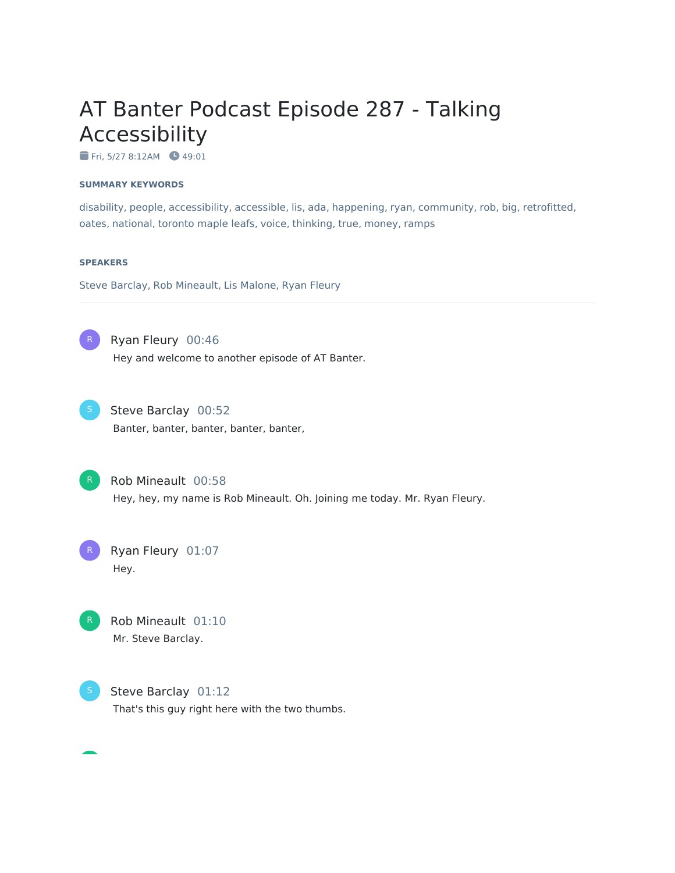# AT Banter Podcast Episode 287 - Talking Accessibility

Fri, 5/27 8:12AM + 49:01

#### **SUMMARY KEYWORDS**

disability, people, accessibility, accessible, lis, ada, happening, ryan, community, rob, big, retrofitted, oates, national, toronto maple leafs, voice, thinking, true, money, ramps

#### **SPEAKERS**

Steve Barclay, Rob Mineault, Lis Malone, Ryan Fleury



Ryan Fleury 00:46

Hey and welcome to another episode of AT Banter.



Steve Barclay 00:52

Banter, banter, banter, banter, banter,

Rob Mineault 00:58 Hey, hey, my name is Rob Mineault. Oh. Joining me today. Mr. Ryan Fleury.







Steve Barclay 01:12 That's this guy right here with the two thumbs.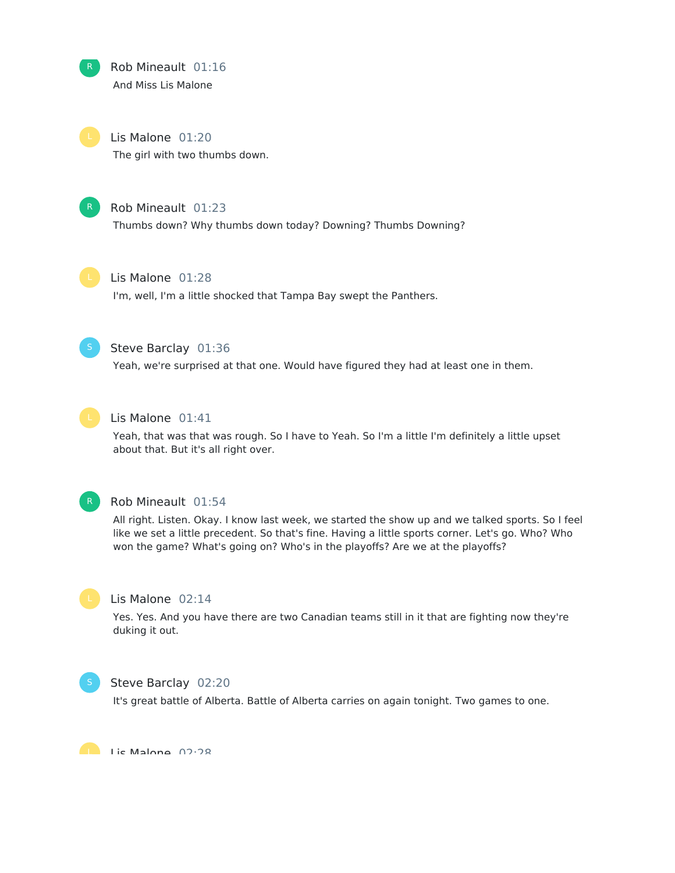

Rob Mineault 01:16 And Miss Lis Malone

Lis Malone 01:20 The girl with two thumbs down.



## Rob Mineault 01:23

Thumbs down? Why thumbs down today? Downing? Thumbs Downing?



#### Lis Malone 01:28

I'm, well, I'm a little shocked that Tampa Bay swept the Panthers.



## Steve Barclay 01:36

Yeah, we're surprised at that one. Would have figured they had at least one in them.



#### Lis Malone 01:41

Yeah, that was that was rough. So I have to Yeah. So I'm a little I'm definitely a little upset about that. But it's all right over.



#### Rob Mineault 01:54

All right. Listen. Okay. I know last week, we started the show up and we talked sports. So I feel like we set a little precedent. So that's fine. Having a little sports corner. Let's go. Who? Who won the game? What's going on? Who's in the playoffs? Are we at the playoffs?



#### Lis Malone 02:14

Yes. Yes. And you have there are two Canadian teams still in it that are fighting now they're duking it out.



#### Steve Barclay 02:20

It's great battle of Alberta. Battle of Alberta carries on again tonight. Two games to one.

Lic Malone 02:28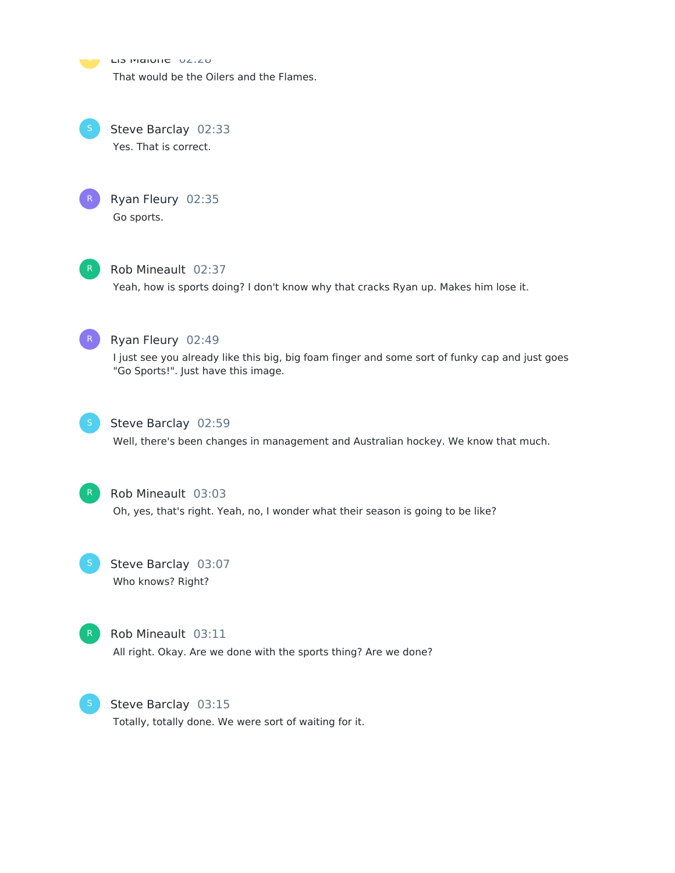Lis Malville 02.20 That would be the Oilers and the Flames.





Ryan Fleury 02:35 Go sports.



## Rob Mineault 02:37

Yeah, how is sports doing? I don't know why that cracks Ryan up. Makes him lose it.



## Ryan Fleury 02:49

I just see you already like this big, big foam finger and some sort of funky cap and just goes "Go Sports!". Just have this image.



#### Steve Barclay 02:59

Well, there's been changes in management and Australian hockey. We know that much.



#### Rob Mineault 03:03

Oh, yes, that's right. Yeah, no, I wonder what their season is going to be like?

Steve Barclay 03:07 Who knows? Right?



#### Rob Mineault 03:11

All right. Okay. Are we done with the sports thing? Are we done?



S Steve Barclay 03:15

Totally, totally done. We were sort of waiting for it.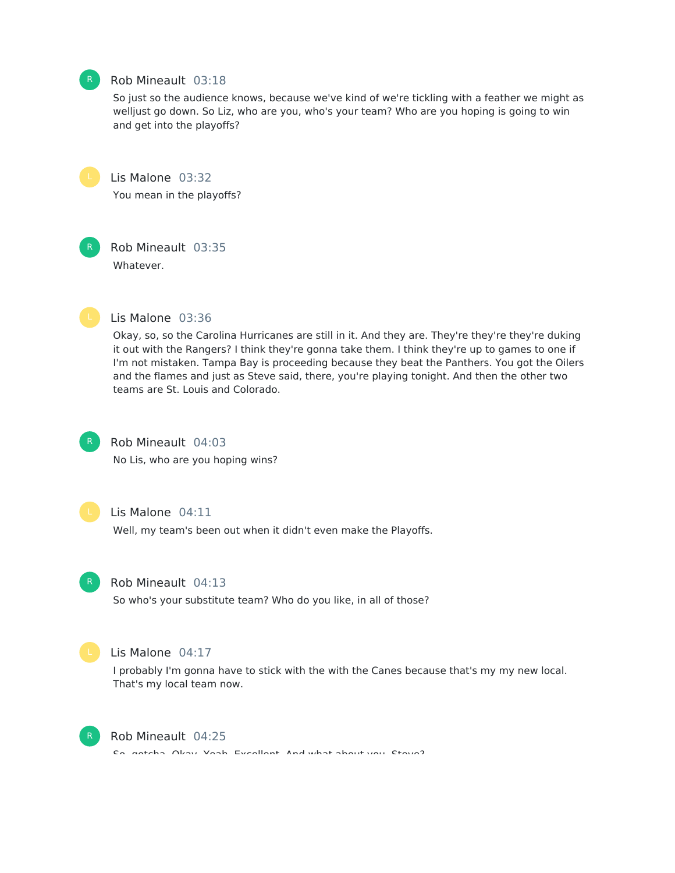## Rob Mineault 03:18

So just so the audience knows, because we've kind of we're tickling with a feather we might as welljust go down. So Liz, who are you, who's your team? Who are you hoping is going to win and get into the playoffs?



Lis Malone 03:32 You mean in the playoffs?



Rob Mineault 03:35 Whatever.



#### Lis Malone 03:36

Okay, so, so the Carolina Hurricanes are still in it. And they are. They're they're they're duking it out with the Rangers? I think they're gonna take them. I think they're up to games to one if I'm not mistaken. Tampa Bay is proceeding because they beat the Panthers. You got the Oilers and the flames and just as Steve said, there, you're playing tonight. And then the other two teams are St. Louis and Colorado.



## Rob Mineault 04:03

No Lis, who are you hoping wins?



#### Lis Malone 04:11

Well, my team's been out when it didn't even make the Playoffs.



#### Rob Mineault 04:13

So who's your substitute team? Who do you like, in all of those?



#### Lis Malone 04:17

I probably I'm gonna have to stick with the with the Canes because that's my my new local. That's my local team now.



#### Rob Mineault 04:25

So, gotcha. Okay. Yeah. Excellent. And what about you, Steve?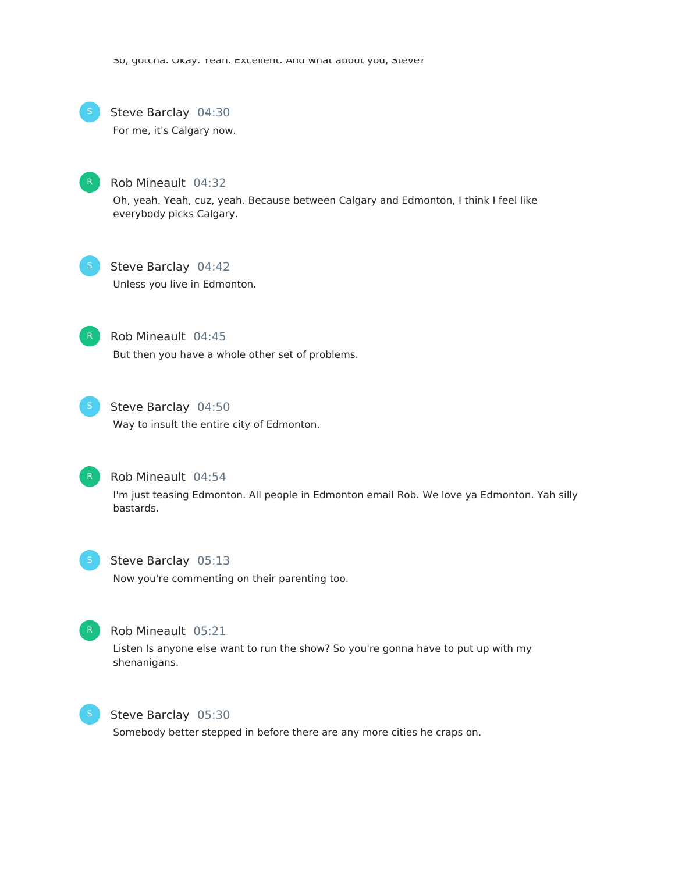Su, gotcha. Okay. Teah. Excellent. And what about you, Steve?



#### Steve Barclay 04:30

For me, it's Calgary now.



#### Rob Mineault 04:32

Oh, yeah. Yeah, cuz, yeah. Because between Calgary and Edmonton, I think I feel like everybody picks Calgary.



## Steve Barclay 04:42

Unless you live in Edmonton.



#### Rob Mineault 04:45

But then you have a whole other set of problems.



## Steve Barclay 04:50

Way to insult the entire city of Edmonton.



## Rob Mineault 04:54

I'm just teasing Edmonton. All people in Edmonton email Rob. We love ya Edmonton. Yah silly bastards.



## Steve Barclay 05:13

Now you're commenting on their parenting too.



#### Rob Mineault 05:21

Listen Is anyone else want to run the show? So you're gonna have to put up with my shenanigans.



#### Steve Barclay 05:30

Somebody better stepped in before there are any more cities he craps on.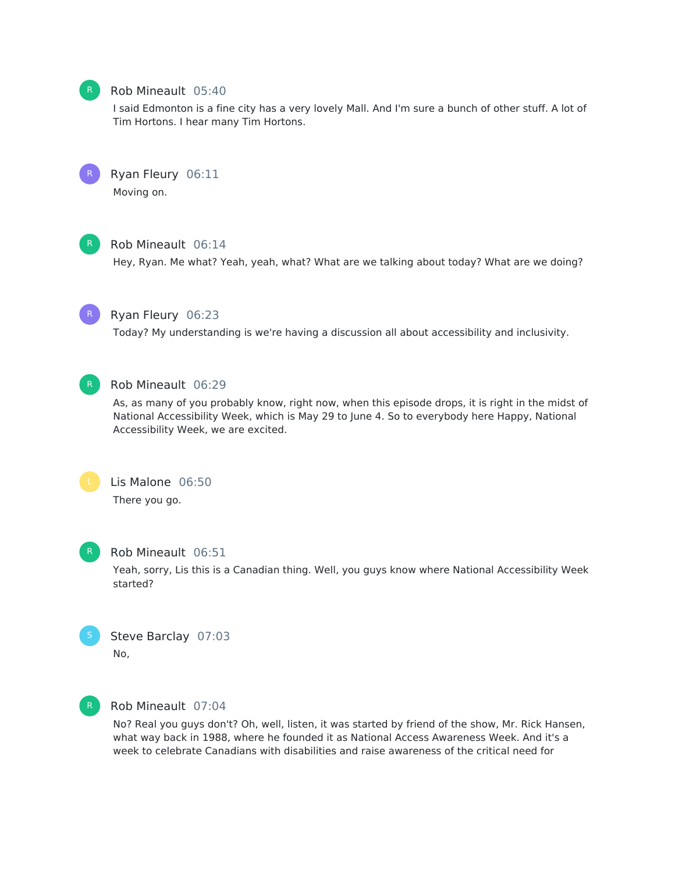## Rob Mineault 05:40

I said Edmonton is a fine city has a very lovely Mall. And I'm sure a bunch of other stuff. A lot of Tim Hortons. I hear many Tim Hortons.



Ryan Fleury 06:11

Moving on.



## Rob Mineault 06:14

Hey, Ryan. Me what? Yeah, yeah, what? What are we talking about today? What are we doing?



## Ryan Fleury 06:23

Today? My understanding is we're having a discussion all about accessibility and inclusivity.



## Rob Mineault 06:29

As, as many of you probably know, right now, when this episode drops, it is right in the midst of National Accessibility Week, which is May 29 to June 4. So to everybody here Happy, National Accessibility Week, we are excited.



## Lis Malone 06:50

There you go.



## Rob Mineault 06:51

Yeah, sorry, Lis this is a Canadian thing. Well, you guys know where National Accessibility Week started?



## Steve Barclay 07:03 No,



## Rob Mineault 07:04

No? Real you guys don't? Oh, well, listen, it was started by friend of the show, Mr. Rick Hansen, what way back in 1988, where he founded it as National Access Awareness Week. And it's a week to celebrate Canadians with disabilities and raise awareness of the critical need for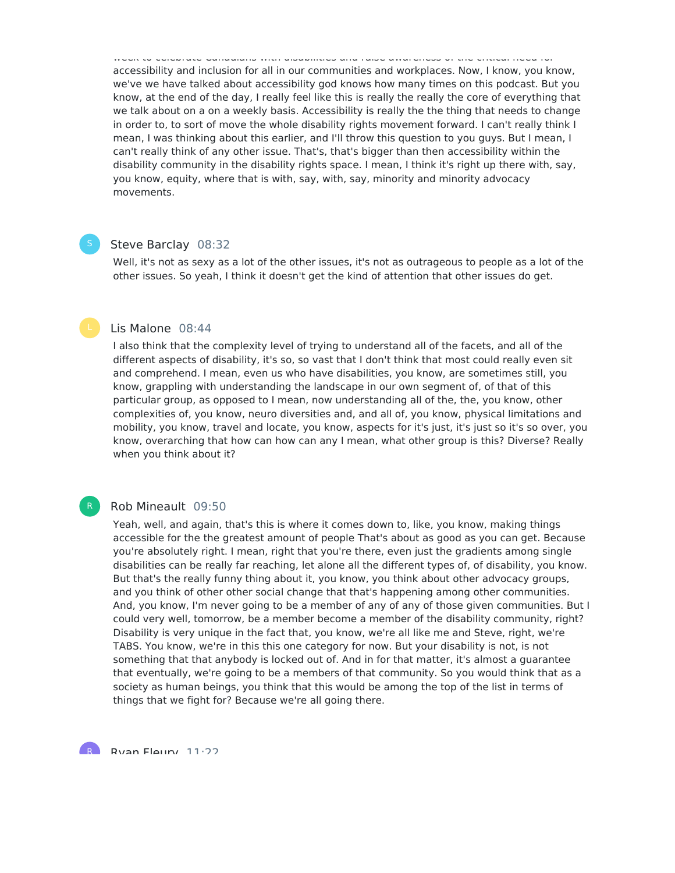accessibility and inclusion for all in our communities and workplaces. Now, I know, you know, we've we have talked about accessibility god knows how many times on this podcast. But you know, at the end of the day, I really feel like this is really the really the core of everything that we talk about on a on a weekly basis. Accessibility is really the the thing that needs to change in order to, to sort of move the whole disability rights movement forward. I can't really think I mean, I was thinking about this earlier, and I'll throw this question to you guys. But I mean, I can't really think of any other issue. That's, that's bigger than then accessibility within the disability community in the disability rights space. I mean, I think it's right up there with, say, you know, equity, where that is with, say, with, say, minority and minority advocacy movements.

week to celebrate Canadians with disabilities and raise awareness of the critical need for

#### Steve Barclay 08:32

Well, it's not as sexy as a lot of the other issues, it's not as outrageous to people as a lot of the other issues. So yeah, I think it doesn't get the kind of attention that other issues do get.

#### Lis Malone 08:44

I also think that the complexity level of trying to understand all of the facets, and all of the different aspects of disability, it's so, so vast that I don't think that most could really even sit and comprehend. I mean, even us who have disabilities, you know, are sometimes still, you know, grappling with understanding the landscape in our own segment of, of that of this particular group, as opposed to I mean, now understanding all of the, the, you know, other complexities of, you know, neuro diversities and, and all of, you know, physical limitations and mobility, you know, travel and locate, you know, aspects for it's just, it's just so it's so over, you know, overarching that how can how can any I mean, what other group is this? Diverse? Really when you think about it?

#### Rob Mineault 09:50

R

Yeah, well, and again, that's this is where it comes down to, like, you know, making things accessible for the the greatest amount of people That's about as good as you can get. Because you're absolutely right. I mean, right that you're there, even just the gradients among single disabilities can be really far reaching, let alone all the different types of, of disability, you know. But that's the really funny thing about it, you know, you think about other advocacy groups, and you think of other other social change that that's happening among other communities. And, you know, I'm never going to be a member of any of any of those given communities. But I could very well, tomorrow, be a member become a member of the disability community, right? Disability is very unique in the fact that, you know, we're all like me and Steve, right, we're TABS. You know, we're in this this one category for now. But your disability is not, is not something that that anybody is locked out of. And in for that matter, it's almost a guarantee that eventually, we're going to be a members of that community. So you would think that as a society as human beings, you think that this would be among the top of the list in terms of things that we fight for? Because we're all going there.

Ryan Fleury 11:22 R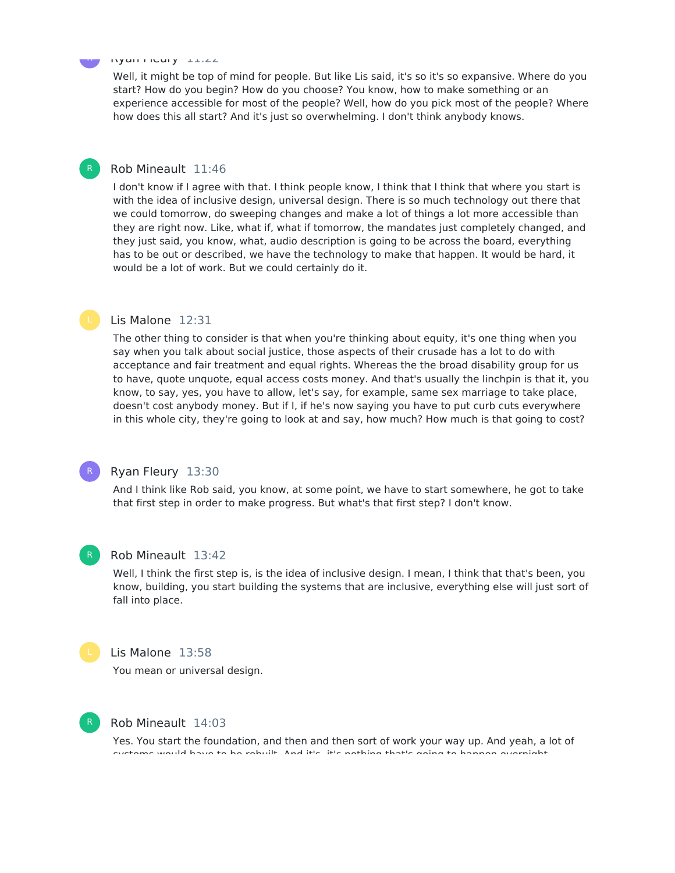#### Ryan Fleury 11:22

Well, it might be top of mind for people. But like Lis said, it's so it's so expansive. Where do you start? How do you begin? How do you choose? You know, how to make something or an experience accessible for most of the people? Well, how do you pick most of the people? Where how does this all start? And it's just so overwhelming. I don't think anybody knows.

## Rob Mineault 11:46

I don't know if I agree with that. I think people know, I think that I think that where you start is with the idea of inclusive design, universal design. There is so much technology out there that we could tomorrow, do sweeping changes and make a lot of things a lot more accessible than they are right now. Like, what if, what if tomorrow, the mandates just completely changed, and they just said, you know, what, audio description is going to be across the board, everything has to be out or described, we have the technology to make that happen. It would be hard, it would be a lot of work. But we could certainly do it.

#### Lis Malone 12:31

The other thing to consider is that when you're thinking about equity, it's one thing when you say when you talk about social justice, those aspects of their crusade has a lot to do with acceptance and fair treatment and equal rights. Whereas the the broad disability group for us to have, quote unquote, equal access costs money. And that's usually the linchpin is that it, you know, to say, yes, you have to allow, let's say, for example, same sex marriage to take place, doesn't cost anybody money. But if I, if he's now saying you have to put curb cuts everywhere in this whole city, they're going to look at and say, how much? How much is that going to cost?



## Ryan Fleury 13:30

And I think like Rob said, you know, at some point, we have to start somewhere, he got to take that first step in order to make progress. But what's that first step? I don't know.



#### Rob Mineault 13:42

Well, I think the first step is, is the idea of inclusive design. I mean, I think that that's been, you know, building, you start building the systems that are inclusive, everything else will just sort of fall into place.

#### Lis Malone 13:58

You mean or universal design.



## Rob Mineault 14:03

Yes. You start the foundation, and then and then sort of work your way up. And yeah, a lot of systems would have to be rebuilt. And it's, it's nothing that's going to happen overnight,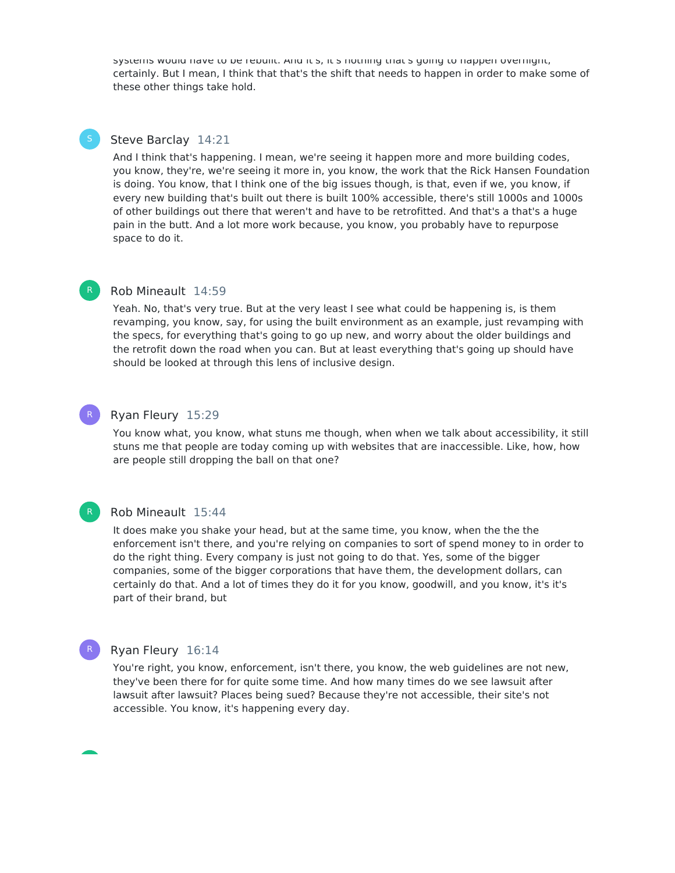systems would have to be rebuilt. And it's, it's nothing that's going to happen overnight, certainly. But I mean, I think that that's the shift that needs to happen in order to make some of these other things take hold.

#### Steve Barclay 14:21

And I think that's happening. I mean, we're seeing it happen more and more building codes, you know, they're, we're seeing it more in, you know, the work that the Rick Hansen Foundation is doing. You know, that I think one of the big issues though, is that, even if we, you know, if every new building that's built out there is built 100% accessible, there's still 1000s and 1000s of other buildings out there that weren't and have to be retrofitted. And that's a that's a huge pain in the butt. And a lot more work because, you know, you probably have to repurpose space to do it.

R

R

R

## Rob Mineault 14:59

Yeah. No, that's very true. But at the very least I see what could be happening is, is them revamping, you know, say, for using the built environment as an example, just revamping with the specs, for everything that's going to go up new, and worry about the older buildings and the retrofit down the road when you can. But at least everything that's going up should have should be looked at through this lens of inclusive design.

#### Ryan Fleury 15:29

You know what, you know, what stuns me though, when when we talk about accessibility, it still stuns me that people are today coming up with websites that are inaccessible. Like, how, how are people still dropping the ball on that one?

#### Rob Mineault 15:44

It does make you shake your head, but at the same time, you know, when the the the enforcement isn't there, and you're relying on companies to sort of spend money to in order to do the right thing. Every company is just not going to do that. Yes, some of the bigger companies, some of the bigger corporations that have them, the development dollars, can certainly do that. And a lot of times they do it for you know, goodwill, and you know, it's it's part of their brand, but

### Ryan Fleury 16:14

You're right, you know, enforcement, isn't there, you know, the web guidelines are not new, they've been there for for quite some time. And how many times do we see lawsuit after lawsuit after lawsuit? Places being sued? Because they're not accessible, their site's not accessible. You know, it's happening every day.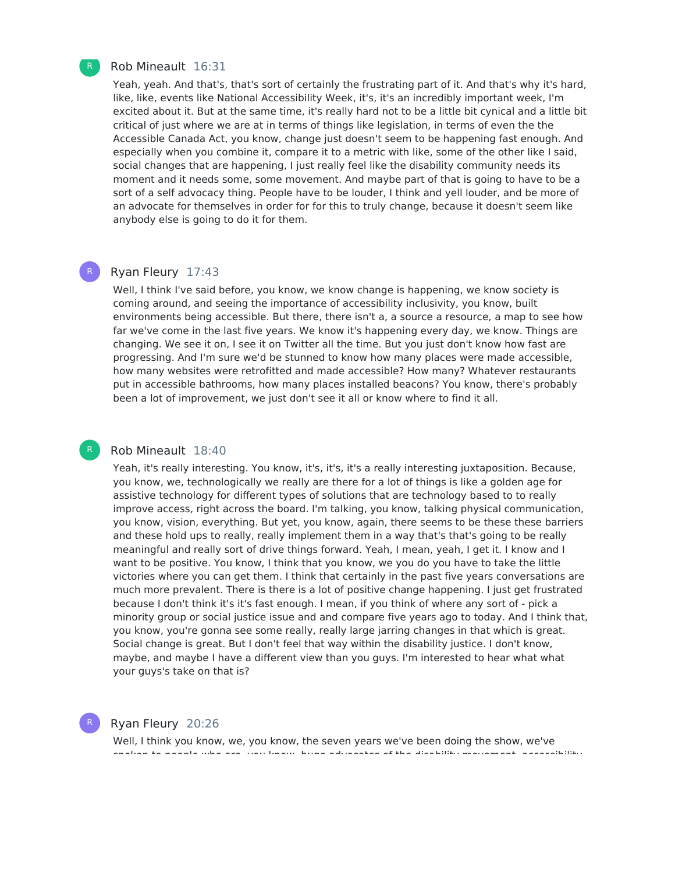

R

R

#### Rob Mineault 16:31

Yeah, yeah. And that's, that's sort of certainly the frustrating part of it. And that's why it's hard, like, like, events like National Accessibility Week, it's, it's an incredibly important week, I'm excited about it. But at the same time, it's really hard not to be a little bit cynical and a little bit critical of just where we are at in terms of things like legislation, in terms of even the the Accessible Canada Act, you know, change just doesn't seem to be happening fast enough. And especially when you combine it, compare it to a metric with like, some of the other like I said, social changes that are happening, I just really feel like the disability community needs its moment and it needs some, some movement. And maybe part of that is going to have to be a sort of a self advocacy thing. People have to be louder, I think and yell louder, and be more of an advocate for themselves in order for for this to truly change, because it doesn't seem like anybody else is going to do it for them.

#### Ryan Fleury 17:43

Well, I think I've said before, you know, we know change is happening, we know society is coming around, and seeing the importance of accessibility inclusivity, you know, built environments being accessible. But there, there isn't a, a source a resource, a map to see how far we've come in the last five years. We know it's happening every day, we know. Things are changing. We see it on, I see it on Twitter all the time. But you just don't know how fast are progressing. And I'm sure we'd be stunned to know how many places were made accessible, how many websites were retrofitted and made accessible? How many? Whatever restaurants put in accessible bathrooms, how many places installed beacons? You know, there's probably been a lot of improvement, we just don't see it all or know where to find it all.

#### Rob Mineault 18:40

Yeah, it's really interesting. You know, it's, it's, it's a really interesting juxtaposition. Because, you know, we, technologically we really are there for a lot of things is like a golden age for assistive technology for different types of solutions that are technology based to to really improve access, right across the board. I'm talking, you know, talking physical communication, you know, vision, everything. But yet, you know, again, there seems to be these these barriers and these hold ups to really, really implement them in a way that's that's going to be really meaningful and really sort of drive things forward. Yeah, I mean, yeah, I get it. I know and I want to be positive. You know, I think that you know, we you do you have to take the little victories where you can get them. I think that certainly in the past five years conversations are much more prevalent. There is there is a lot of positive change happening. I just get frustrated because I don't think it's it's fast enough. I mean, if you think of where any sort of - pick a minority group or social justice issue and and compare five years ago to today. And I think that, you know, you're gonna see some really, really large jarring changes in that which is great. Social change is great. But I don't feel that way within the disability justice. I don't know, maybe, and maybe I have a different view than you guys. I'm interested to hear what what your guys's take on that is?



## Ryan Fleury 20:26

Well, I think you know, we, you know, the seven years we've been doing the show, we've spoken to people who are, you know, huge advocates of the disability movement, accessibility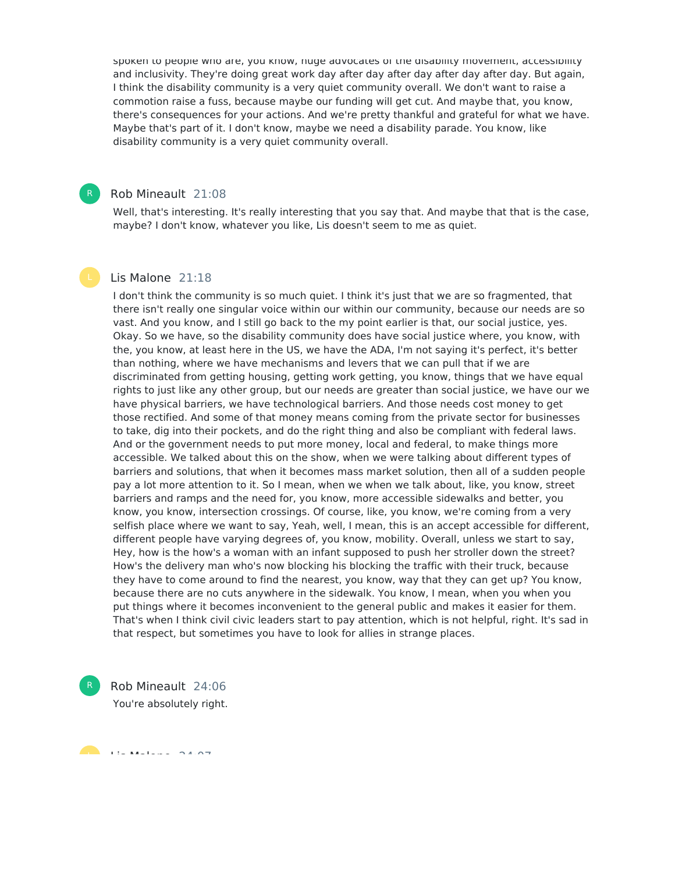spoken to people who are, you know, huge advocates or the disability movement, accessibility and inclusivity. They're doing great work day after day after day after day after day. But again, I think the disability community is a very quiet community overall. We don't want to raise a commotion raise a fuss, because maybe our funding will get cut. And maybe that, you know, there's consequences for your actions. And we're pretty thankful and grateful for what we have. Maybe that's part of it. I don't know, maybe we need a disability parade. You know, like disability community is a very quiet community overall.

#### Rob Mineault 21:08

Well, that's interesting. It's really interesting that you say that. And maybe that that is the case, maybe? I don't know, whatever you like, Lis doesn't seem to me as quiet.

#### Lis Malone 21:18

I don't think the community is so much quiet. I think it's just that we are so fragmented, that there isn't really one singular voice within our within our community, because our needs are so vast. And you know, and I still go back to the my point earlier is that, our social justice, yes. Okay. So we have, so the disability community does have social justice where, you know, with the, you know, at least here in the US, we have the ADA, I'm not saying it's perfect, it's better than nothing, where we have mechanisms and levers that we can pull that if we are discriminated from getting housing, getting work getting, you know, things that we have equal rights to just like any other group, but our needs are greater than social justice, we have our we have physical barriers, we have technological barriers. And those needs cost money to get those rectified. And some of that money means coming from the private sector for businesses to take, dig into their pockets, and do the right thing and also be compliant with federal laws. And or the government needs to put more money, local and federal, to make things more accessible. We talked about this on the show, when we were talking about different types of barriers and solutions, that when it becomes mass market solution, then all of a sudden people pay a lot more attention to it. So I mean, when we when we talk about, like, you know, street barriers and ramps and the need for, you know, more accessible sidewalks and better, you know, you know, intersection crossings. Of course, like, you know, we're coming from a very selfish place where we want to say, Yeah, well, I mean, this is an accept accessible for different, different people have varying degrees of, you know, mobility. Overall, unless we start to say, Hey, how is the how's a woman with an infant supposed to push her stroller down the street? How's the delivery man who's now blocking his blocking the traffic with their truck, because they have to come around to find the nearest, you know, way that they can get up? You know, because there are no cuts anywhere in the sidewalk. You know, I mean, when you when you put things where it becomes inconvenient to the general public and makes it easier for them. That's when I think civil civic leaders start to pay attention, which is not helpful, right. It's sad in that respect, but sometimes you have to look for allies in strange places.

Rob Mineault 24:06 You're absolutely right. R

Lis Malone 24:07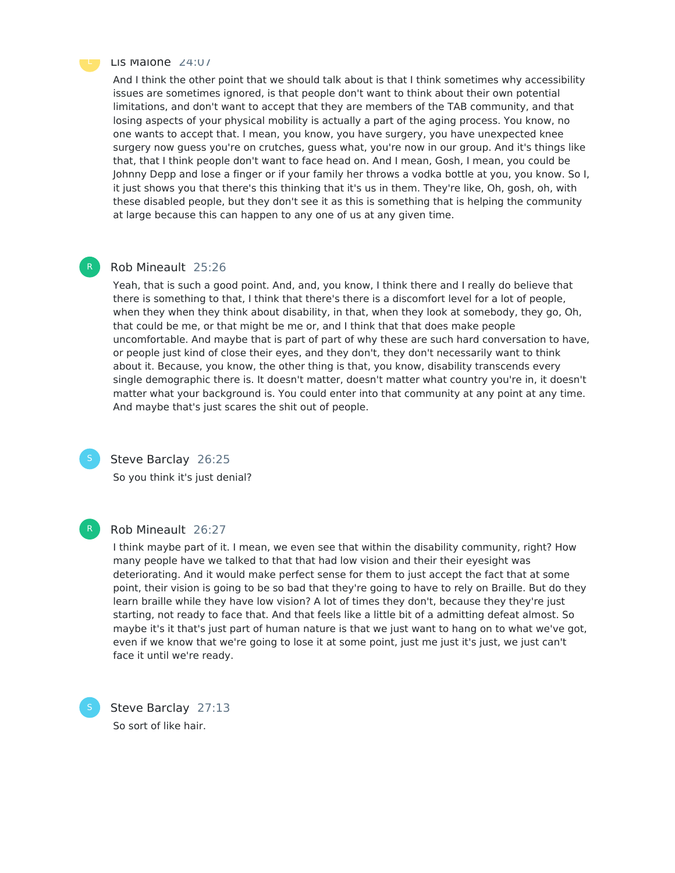

R

#### Lis Malone  $24:07$

And I think the other point that we should talk about is that I think sometimes why accessibility issues are sometimes ignored, is that people don't want to think about their own potential limitations, and don't want to accept that they are members of the TAB community, and that losing aspects of your physical mobility is actually a part of the aging process. You know, no one wants to accept that. I mean, you know, you have surgery, you have unexpected knee surgery now guess you're on crutches, guess what, you're now in our group. And it's things like that, that I think people don't want to face head on. And I mean, Gosh, I mean, you could be Johnny Depp and lose a finger or if your family her throws a vodka bottle at you, you know. So I, it just shows you that there's this thinking that it's us in them. They're like, Oh, gosh, oh, with these disabled people, but they don't see it as this is something that is helping the community at large because this can happen to any one of us at any given time.

#### Rob Mineault 25:26

Yeah, that is such a good point. And, and, you know, I think there and I really do believe that there is something to that, I think that there's there is a discomfort level for a lot of people, when they when they think about disability, in that, when they look at somebody, they go, Oh, that could be me, or that might be me or, and I think that that does make people uncomfortable. And maybe that is part of part of why these are such hard conversation to have, or people just kind of close their eyes, and they don't, they don't necessarily want to think about it. Because, you know, the other thing is that, you know, disability transcends every single demographic there is. It doesn't matter, doesn't matter what country you're in, it doesn't matter what your background is. You could enter into that community at any point at any time. And maybe that's just scares the shit out of people.



#### Steve Barclay 26:25

So you think it's just denial?



#### Rob Mineault 26:27

I think maybe part of it. I mean, we even see that within the disability community, right? How many people have we talked to that that had low vision and their their eyesight was deteriorating. And it would make perfect sense for them to just accept the fact that at some point, their vision is going to be so bad that they're going to have to rely on Braille. But do they learn braille while they have low vision? A lot of times they don't, because they they're just starting, not ready to face that. And that feels like a little bit of a admitting defeat almost. So maybe it's it that's just part of human nature is that we just want to hang on to what we've got, even if we know that we're going to lose it at some point, just me just it's just, we just can't face it until we're ready.

Steve Barclay 27:13 So sort of like hair.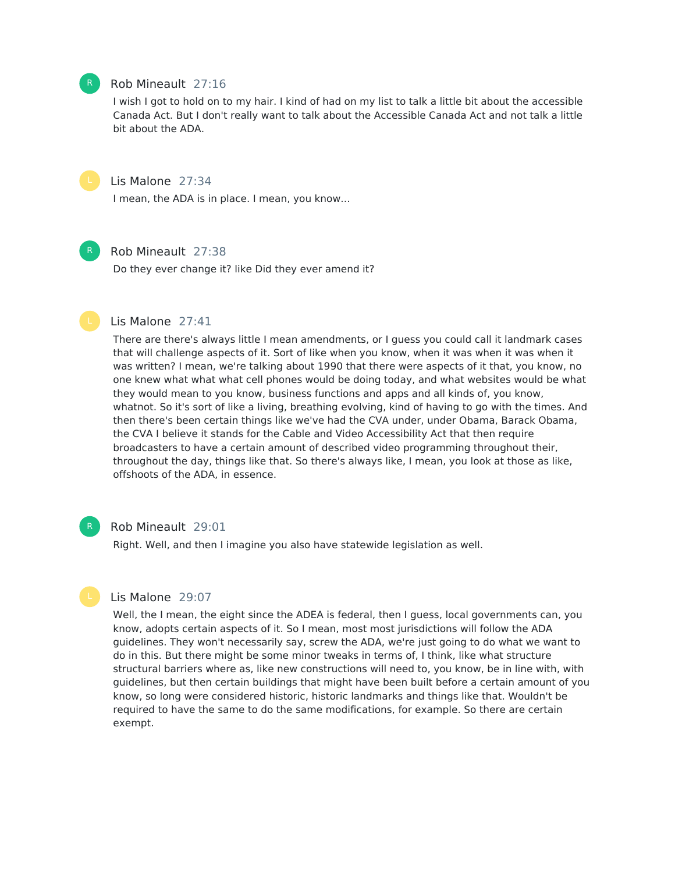### Rob Mineault 27:16

I wish I got to hold on to my hair. I kind of had on my list to talk a little bit about the accessible Canada Act. But I don't really want to talk about the Accessible Canada Act and not talk a little bit about the ADA.



## Lis Malone 27:34

I mean, the ADA is in place. I mean, you know...



## Rob Mineault 27:38

Do they ever change it? like Did they ever amend it?



There are there's always little I mean amendments, or I guess you could call it landmark cases that will challenge aspects of it. Sort of like when you know, when it was when it was when it was written? I mean, we're talking about 1990 that there were aspects of it that, you know, no one knew what what what cell phones would be doing today, and what websites would be what they would mean to you know, business functions and apps and all kinds of, you know, whatnot. So it's sort of like a living, breathing evolving, kind of having to go with the times. And then there's been certain things like we've had the CVA under, under Obama, Barack Obama, the CVA I believe it stands for the Cable and Video Accessibility Act that then require broadcasters to have a certain amount of described video programming throughout their, throughout the day, things like that. So there's always like, I mean, you look at those as like, offshoots of the ADA, in essence.



#### Rob Mineault 29:01

Right. Well, and then I imagine you also have statewide legislation as well.

#### Lis Malone 29:07

Well, the I mean, the eight since the ADEA is federal, then I guess, local governments can, you know, adopts certain aspects of it. So I mean, most most jurisdictions will follow the ADA guidelines. They won't necessarily say, screw the ADA, we're just going to do what we want to do in this. But there might be some minor tweaks in terms of, I think, like what structure structural barriers where as, like new constructions will need to, you know, be in line with, with guidelines, but then certain buildings that might have been built before a certain amount of you know, so long were considered historic, historic landmarks and things like that. Wouldn't be required to have the same to do the same modifications, for example. So there are certain exempt.

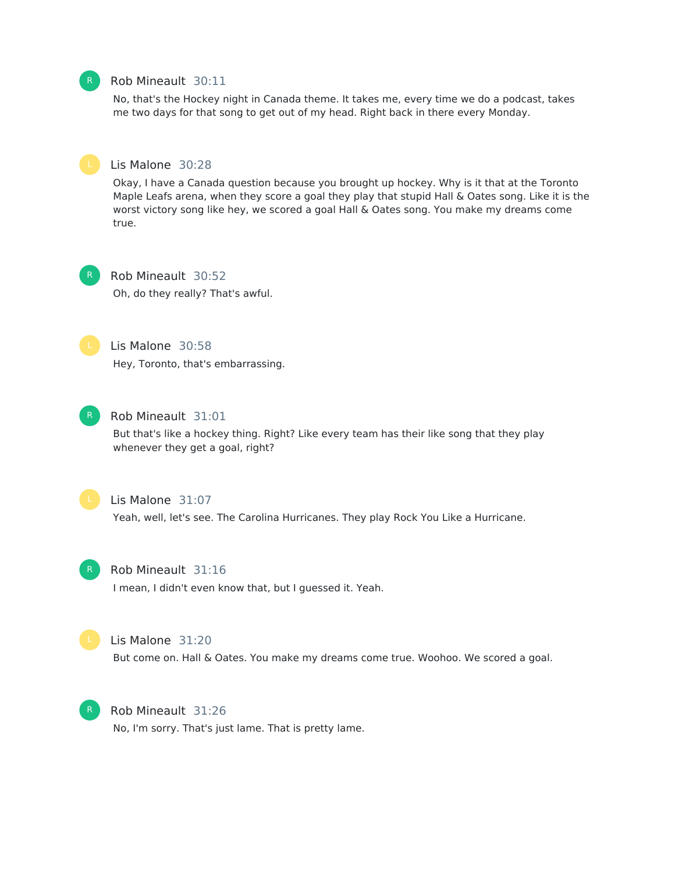## Rob Mineault 30:11

No, that's the Hockey night in Canada theme. It takes me, every time we do a podcast, takes me two days for that song to get out of my head. Right back in there every Monday.



#### Lis Malone 30:28

Okay, I have a Canada question because you brought up hockey. Why is it that at the Toronto Maple Leafs arena, when they score a goal they play that stupid Hall & Oates song. Like it is the worst victory song like hey, we scored a goal Hall & Oates song. You make my dreams come true.

Rob Mineault 30:52 Oh, do they really? That's awful.



Lis Malone 30:58 Hey, Toronto, that's embarrassing.



#### Rob Mineault 31:01

But that's like a hockey thing. Right? Like every team has their like song that they play whenever they get a goal, right?



## Lis Malone 31:07

Yeah, well, let's see. The Carolina Hurricanes. They play Rock You Like a Hurricane.



## Rob Mineault 31:16

I mean, I didn't even know that, but I guessed it. Yeah.



#### Lis Malone 31:20

But come on. Hall & Oates. You make my dreams come true. Woohoo. We scored a goal.



Rob Mineault 31:26 No, I'm sorry. That's just lame. That is pretty lame.

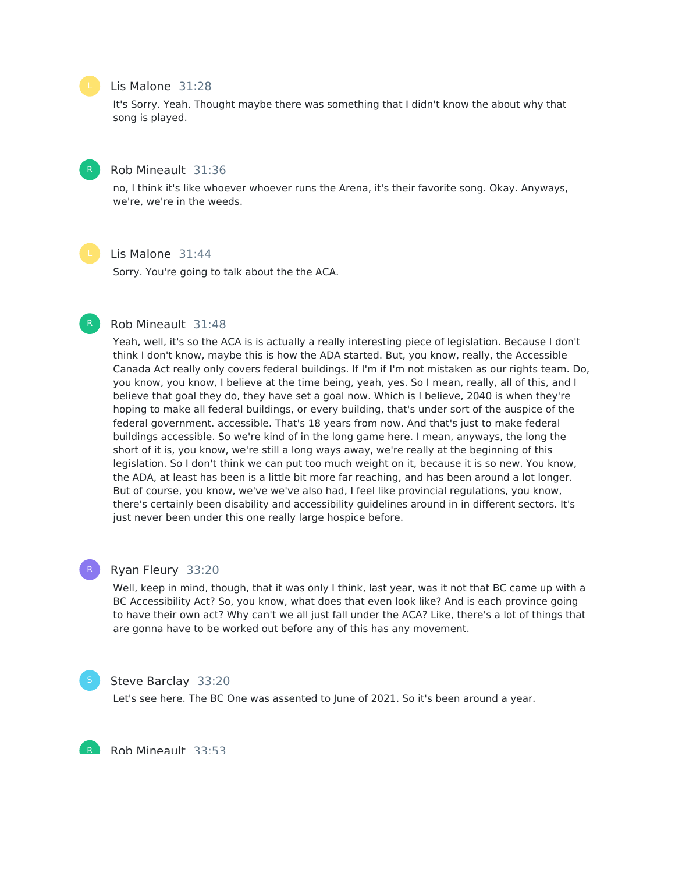#### Lis Malone 31:28

It's Sorry. Yeah. Thought maybe there was something that I didn't know the about why that song is played.

## Rob Mineault 31:36

no, I think it's like whoever whoever runs the Arena, it's their favorite song. Okay. Anyways, we're, we're in the weeds.

## Lis Malone 31:44

Sorry. You're going to talk about the the ACA.

#### Rob Mineault 31:48

Yeah, well, it's so the ACA is is actually a really interesting piece of legislation. Because I don't think I don't know, maybe this is how the ADA started. But, you know, really, the Accessible Canada Act really only covers federal buildings. If I'm if I'm not mistaken as our rights team. Do, you know, you know, I believe at the time being, yeah, yes. So I mean, really, all of this, and I believe that goal they do, they have set a goal now. Which is I believe, 2040 is when they're hoping to make all federal buildings, or every building, that's under sort of the auspice of the federal government. accessible. That's 18 years from now. And that's just to make federal buildings accessible. So we're kind of in the long game here. I mean, anyways, the long the short of it is, you know, we're still a long ways away, we're really at the beginning of this legislation. So I don't think we can put too much weight on it, because it is so new. You know, the ADA, at least has been is a little bit more far reaching, and has been around a lot longer. But of course, you know, we've we've also had, I feel like provincial regulations, you know, there's certainly been disability and accessibility guidelines around in in different sectors. It's just never been under this one really large hospice before.

#### Ryan Fleury 33:20

Well, keep in mind, though, that it was only I think, last year, was it not that BC came up with a BC Accessibility Act? So, you know, what does that even look like? And is each province going to have their own act? Why can't we all just fall under the ACA? Like, there's a lot of things that are gonna have to be worked out before any of this has any movement.



R

R

#### Steve Barclay 33:20

Let's see here. The BC One was assented to June of 2021. So it's been around a year.

Rob Mineault 33:53

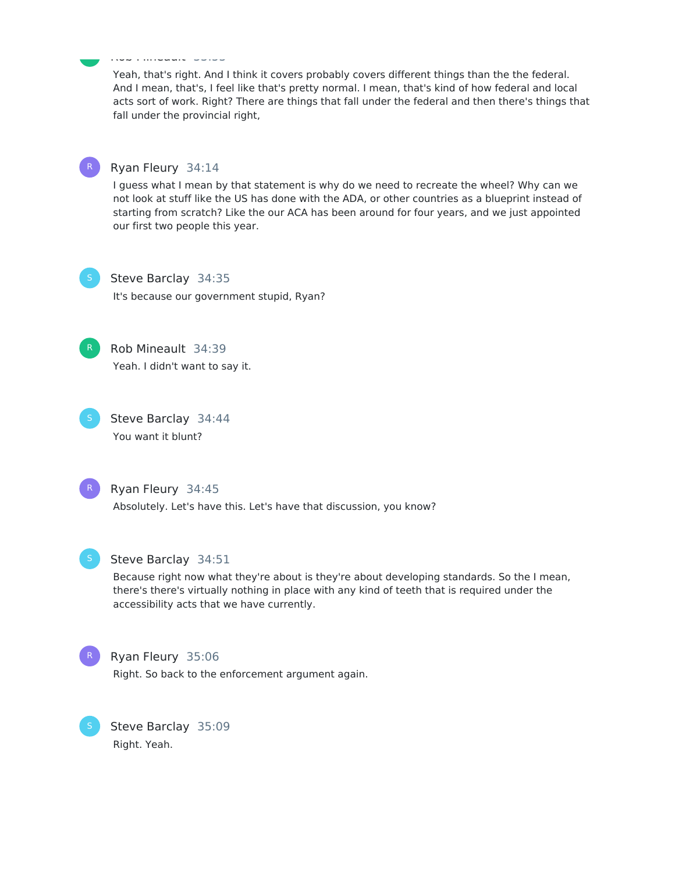Yeah, that's right. And I think it covers probably covers different things than the the federal. And I mean, that's, I feel like that's pretty normal. I mean, that's kind of how federal and local acts sort of work. Right? There are things that fall under the federal and then there's things that fall under the provincial right,



R

## Ryan Fleury 34:14

Rob Mineault 33:53

I guess what I mean by that statement is why do we need to recreate the wheel? Why can we not look at stuff like the US has done with the ADA, or other countries as a blueprint instead of starting from scratch? Like the our ACA has been around for four years, and we just appointed our first two people this year.

Steve Barclay 34:35 It's because our government stupid, Ryan?



Rob Mineault 34:39

Yeah. I didn't want to say it.

Steve Barclay 34:44 You want it blunt?

R

Ryan Fleury 34:45 Absolutely. Let's have this. Let's have that discussion, you know?



#### Steve Barclay 34:51

Because right now what they're about is they're about developing standards. So the I mean, there's there's virtually nothing in place with any kind of teeth that is required under the accessibility acts that we have currently.



#### Ryan Fleury 35:06

Right. So back to the enforcement argument again.

Steve Barclay 35:09 Right. Yeah.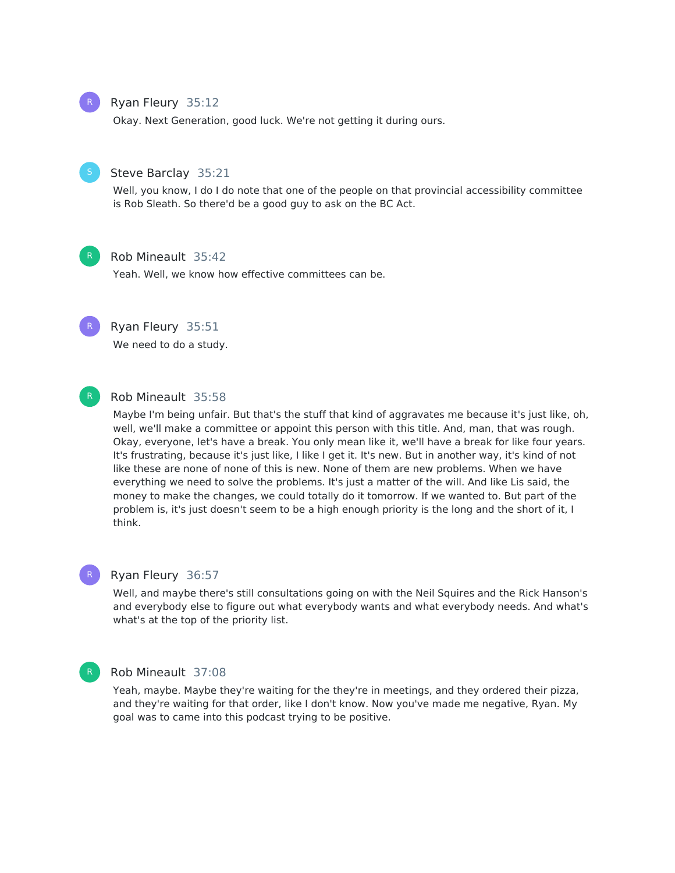

## Ryan Fleury 35:12

Okay. Next Generation, good luck. We're not getting it during ours.



## Steve Barclay 35:21

Well, you know, I do I do note that one of the people on that provincial accessibility committee is Rob Sleath. So there'd be a good guy to ask on the BC Act.



#### Rob Mineault 35:42

Yeah. Well, we know how effective committees can be.



Ryan Fleury 35:51

We need to do a study.



#### Rob Mineault 35:58

Maybe I'm being unfair. But that's the stuff that kind of aggravates me because it's just like, oh, well, we'll make a committee or appoint this person with this title. And, man, that was rough. Okay, everyone, let's have a break. You only mean like it, we'll have a break for like four years. It's frustrating, because it's just like, I like I get it. It's new. But in another way, it's kind of not like these are none of none of this is new. None of them are new problems. When we have everything we need to solve the problems. It's just a matter of the will. And like Lis said, the money to make the changes, we could totally do it tomorrow. If we wanted to. But part of the problem is, it's just doesn't seem to be a high enough priority is the long and the short of it, I think.

#### R

## Ryan Fleury 36:57

Well, and maybe there's still consultations going on with the Neil Squires and the Rick Hanson's and everybody else to figure out what everybody wants and what everybody needs. And what's what's at the top of the priority list.



#### Rob Mineault 37:08

Yeah, maybe. Maybe they're waiting for the they're in meetings, and they ordered their pizza, and they're waiting for that order, like I don't know. Now you've made me negative, Ryan. My goal was to came into this podcast trying to be positive.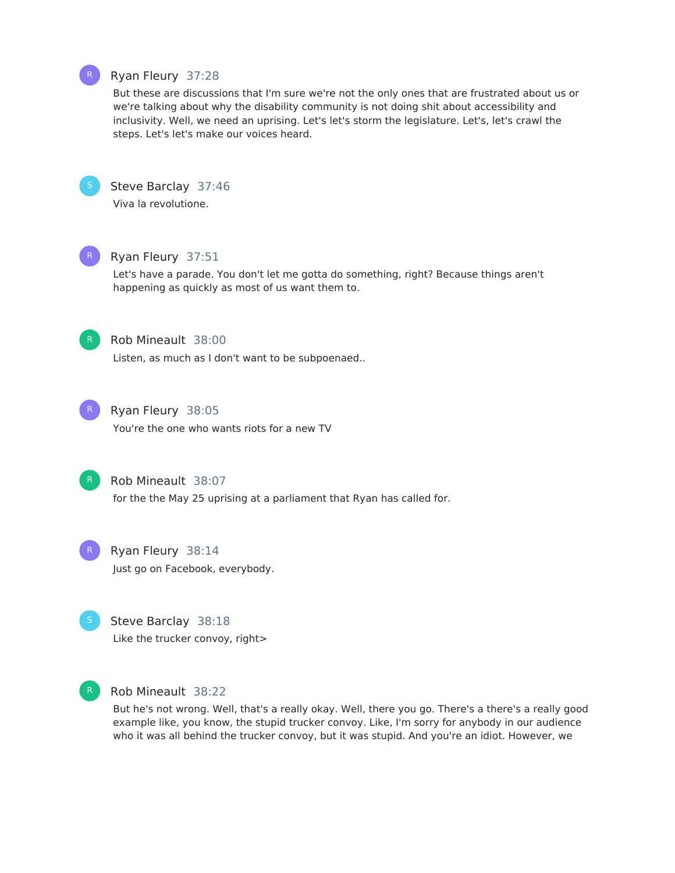## Ryan Fleury 37:28

But these are discussions that I'm sure we're not the only ones that are frustrated about us or we're talking about why the disability community is not doing shit about accessibility and inclusivity. Well, we need an uprising. Let's let's storm the legislature. Let's, let's crawl the steps. Let's let's make our voices heard.



R

## Steve Barclay 37:46

Viva la revolutione.



## Ryan Fleury 37:51

Let's have a parade. You don't let me gotta do something, right? Because things aren't happening as quickly as most of us want them to.



## Rob Mineault 38:00

Listen, as much as I don't want to be subpoenaed..



## Ryan Fleury 38:05

You're the one who wants riots for a new TV



#### Rob Mineault 38:07

for the the May 25 uprising at a parliament that Ryan has called for.



Ryan Fleury 38:14 Just go on Facebook, everybody.



Steve Barclay 38:18 Like the trucker convoy, right>



#### R Rob Mineault 38:22

But he's not wrong. Well, that's a really okay. Well, there you go. There's a there's a really good example like, you know, the stupid trucker convoy. Like, I'm sorry for anybody in our audience who it was all behind the trucker convoy, but it was stupid. And you're an idiot. However, we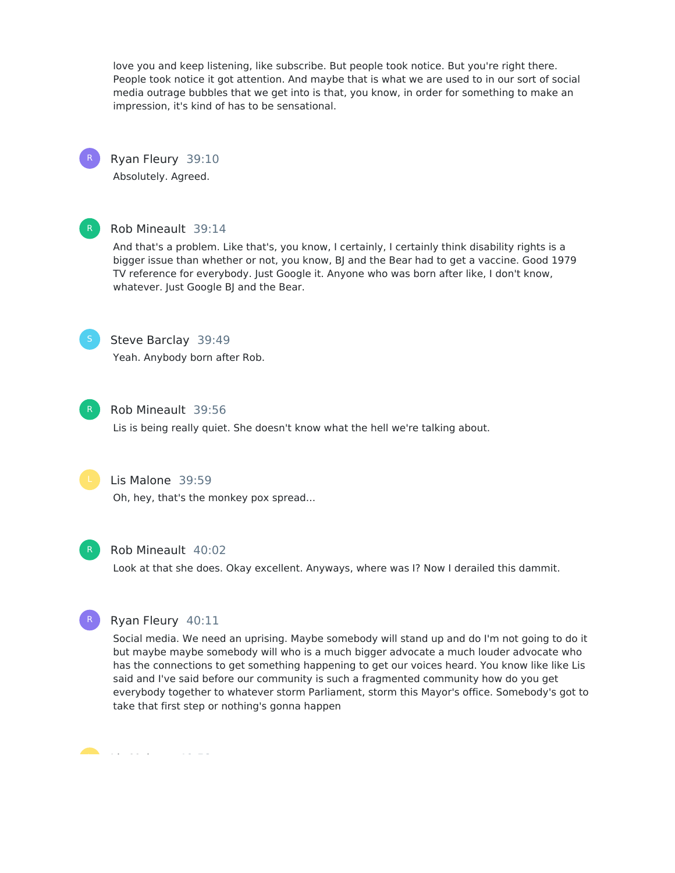love you and keep listening, like subscribe. But people took notice. But you're right there. People took notice it got attention. And maybe that is what we are used to in our sort of social media outrage bubbles that we get into is that, you know, in order for something to make an impression, it's kind of has to be sensational.

## Ryan Fleury 39:10

Absolutely. Agreed.



R

## Rob Mineault 39:14

And that's a problem. Like that's, you know, I certainly, I certainly think disability rights is a bigger issue than whether or not, you know, BJ and the Bear had to get a vaccine. Good 1979 TV reference for everybody. Just Google it. Anyone who was born after like, I don't know, whatever. Just Google BJ and the Bear.



## Steve Barclay 39:49

Yeah. Anybody born after Rob.



## Rob Mineault 39:56

Lis is being really quiet. She doesn't know what the hell we're talking about.



## Lis Malone 39:59

Oh, hey, that's the monkey pox spread...



#### Rob Mineault 40:02

Look at that she does. Okay excellent. Anyways, where was I? Now I derailed this dammit.



## Ryan Fleury 40:11

Social media. We need an uprising. Maybe somebody will stand up and do I'm not going to do it but maybe maybe somebody will who is a much bigger advocate a much louder advocate who has the connections to get something happening to get our voices heard. You know like like Lis said and I've said before our community is such a fragmented community how do you get everybody together to whatever storm Parliament, storm this Mayor's office. Somebody's got to take that first step or nothing's gonna happen

Lis Malone 40:52 L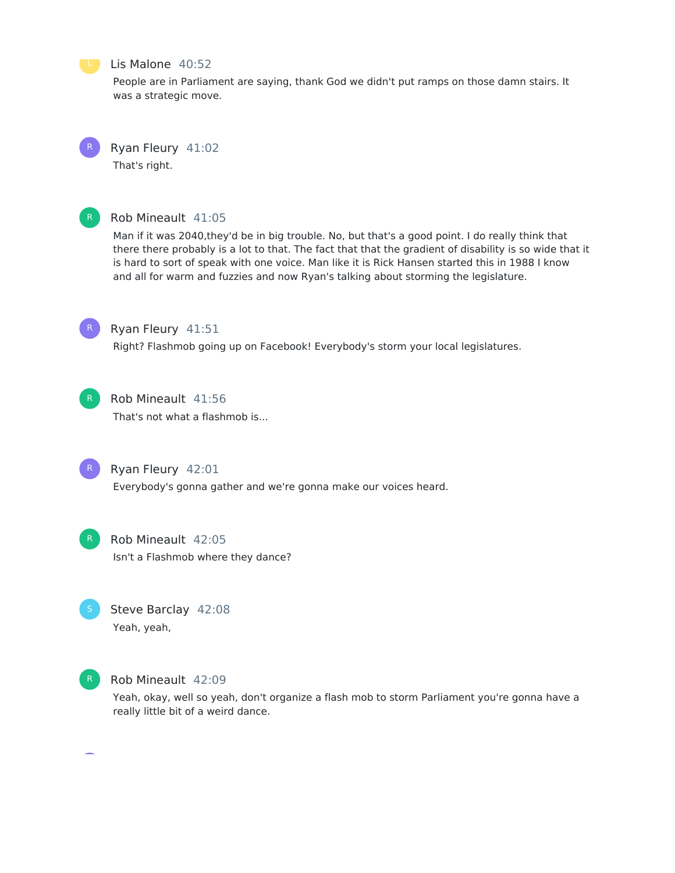

#### Lis Malone 40:52

People are in Parliament are saying, thank God we didn't put ramps on those damn stairs. It was a strategic move.

R

Ryan Fleury 41:02

That's right.



## Rob Mineault 41:05

Man if it was 2040,they'd be in big trouble. No, but that's a good point. I do really think that there there probably is a lot to that. The fact that that the gradient of disability is so wide that it is hard to sort of speak with one voice. Man like it is Rick Hansen started this in 1988 I know and all for warm and fuzzies and now Ryan's talking about storming the legislature.



## Ryan Fleury 41:51

Right? Flashmob going up on Facebook! Everybody's storm your local legislatures.



## Rob Mineault 41:56

That's not what a flashmob is...



## Ryan Fleury 42:01

Everybody's gonna gather and we're gonna make our voices heard.



Rob Mineault 42:05 Isn't a Flashmob where they dance?



## Steve Barclay 42:08 Yeah, yeah,



## Rob Mineault 42:09

Yeah, okay, well so yeah, don't organize a flash mob to storm Parliament you're gonna have a really little bit of a weird dance.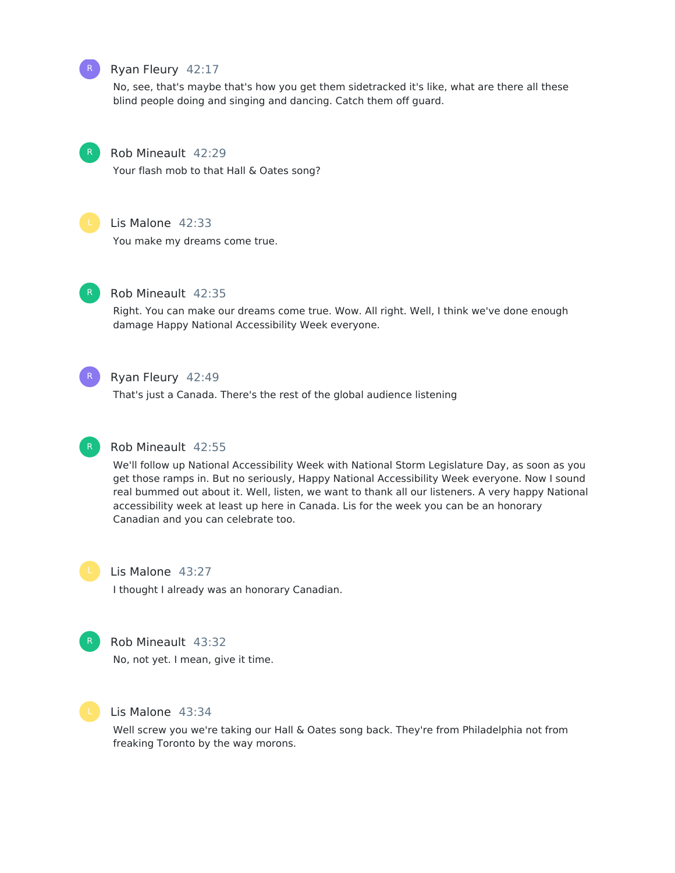

## Ryan Fleury 42:17

No, see, that's maybe that's how you get them sidetracked it's like, what are there all these blind people doing and singing and dancing. Catch them off guard.



Your flash mob to that Hall & Oates song?



R

## Lis Malone 42:33

You make my dreams come true.



## Rob Mineault 42:35

Right. You can make our dreams come true. Wow. All right. Well, I think we've done enough damage Happy National Accessibility Week everyone.



## Ryan Fleury 42:49

That's just a Canada. There's the rest of the global audience listening



#### Rob Mineault 42:55

We'll follow up National Accessibility Week with National Storm Legislature Day, as soon as you get those ramps in. But no seriously, Happy National Accessibility Week everyone. Now I sound real bummed out about it. Well, listen, we want to thank all our listeners. A very happy National accessibility week at least up here in Canada. Lis for the week you can be an honorary Canadian and you can celebrate too.

## Lis Malone 43:27

I thought I already was an honorary Canadian.



#### Rob Mineault 43:32

No, not yet. I mean, give it time.



#### Lis Malone 43:34

Well screw you we're taking our Hall & Oates song back. They're from Philadelphia not from freaking Toronto by the way morons.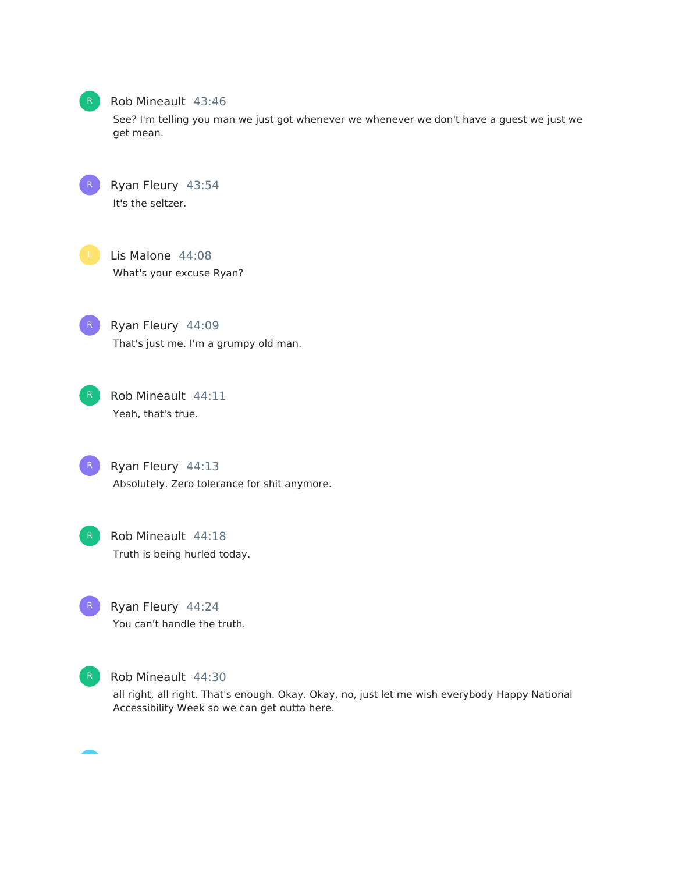

#### Rob Mineault 43:46

See? I'm telling you man we just got whenever we whenever we don't have a guest we just we get mean.

Ryan Fleury 43:54 It's the seltzer.

Lis Malone 44:08 What's your excuse Ryan?

Ryan Fleury 44:09 That's just me. I'm a grumpy old man.



Rob Mineault 44:11 Yeah, that's true.



Ryan Fleury 44:13 Absolutely. Zero tolerance for shit anymore.

Rob Mineault 44:18 Truth is being hurled today.



Ryan Fleury 44:24 You can't handle the truth.



Rob Mineault 44:30

all right, all right. That's enough. Okay. Okay, no, just let me wish everybody Happy National Accessibility Week so we can get outta here.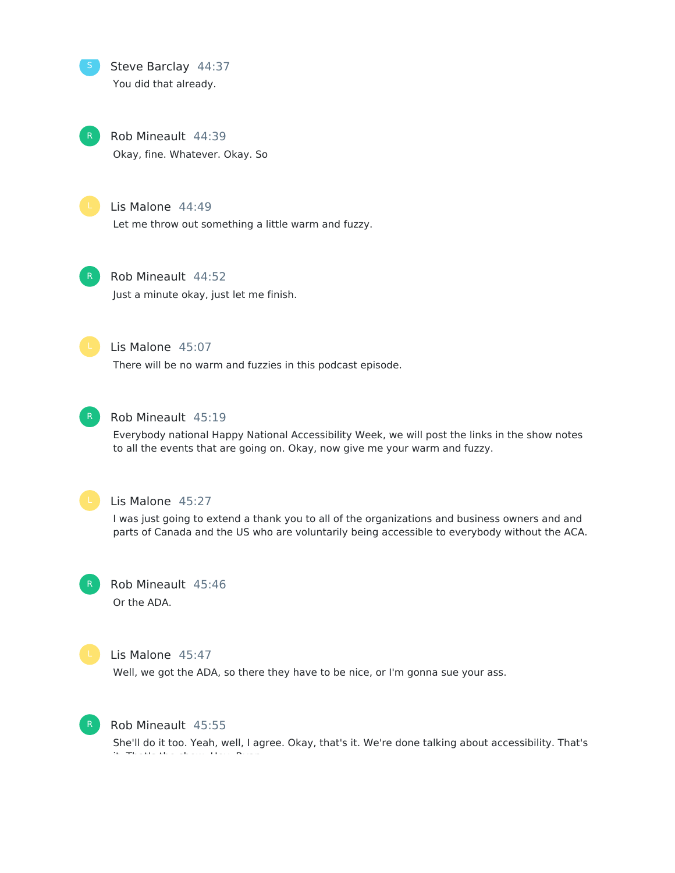Steve Barclay 44:37 You did that already.

> Rob Mineault 44:39 Okay, fine. Whatever. Okay. So



#### Lis Malone 44:49

Let me throw out something a little warm and fuzzy.

## Rob Mineault 44:52

Just a minute okay, just let me finish.



## Lis Malone 45:07

There will be no warm and fuzzies in this podcast episode.



#### Rob Mineault 45:19

Everybody national Happy National Accessibility Week, we will post the links in the show notes to all the events that are going on. Okay, now give me your warm and fuzzy.



### Lis Malone 45:27

I was just going to extend a thank you to all of the organizations and business owners and and parts of Canada and the US who are voluntarily being accessible to everybody without the ACA.



# Rob Mineault 45:46

Or the ADA.



#### Lis Malone 45:47

Well, we got the ADA, so there they have to be nice, or I'm gonna sue your ass.



#### Rob Mineault 45:55

She'll do it too. Yeah, well, I agree. Okay, that's it. We're done talking about accessibility. That's it. That's the show. Hey, Ryan.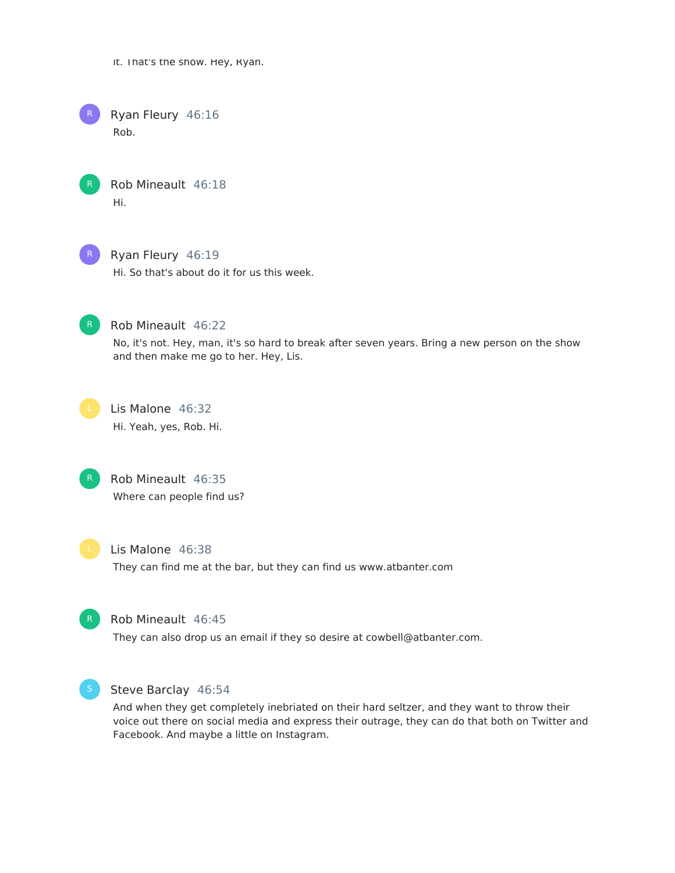it. That's the show. Hey, Ryan.

Ryan Fleury 46:16 Rob. R

> Rob Mineault 46:18 Hi.



Ryan Fleury 46:19

Hi. So that's about do it for us this week.



Rob Mineault 46:22

No, it's not. Hey, man, it's so hard to break after seven years. Bring a new person on the show and then make me go to her. Hey, Lis.



Lis Malone 46:32 Hi. Yeah, yes, Rob. Hi.



Rob Mineault 46:35 Where can people find us?



Lis Malone 46:38

They can find me at the bar, but they can find us www.atbanter.com



Rob Mineault 46:45

They can also drop us an email if they so desire at cowbell@atbanter.com.



Steve Barclay 46:54

And when they get completely inebriated on their hard seltzer, and they want to throw their voice out there on social media and express their outrage, they can do that both on Twitter and Facebook. And maybe a little on Instagram.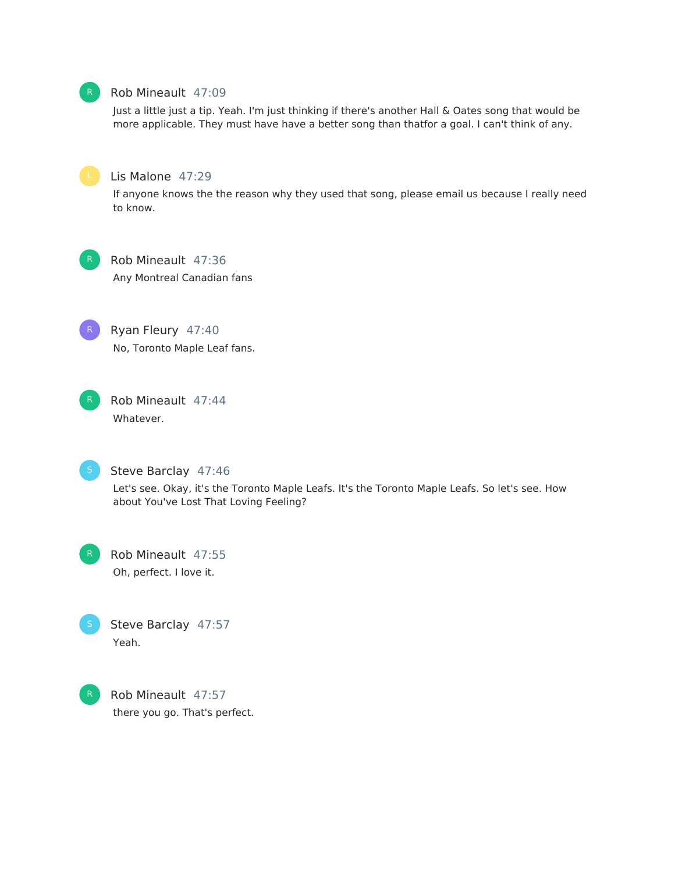## Rob Mineault 47:09

Just a little just a tip. Yeah. I'm just thinking if there's another Hall & Oates song that would be more applicable. They must have have a better song than thatfor a goal. I can't think of any.



## Lis Malone 47:29

If anyone knows the the reason why they used that song, please email us because I really need to know.



Rob Mineault 47:36 Any Montreal Canadian fans



Ryan Fleury 47:40 No, Toronto Maple Leaf fans.



Rob Mineault 47:44 Whatever.



#### Steve Barclay 47:46

Let's see. Okay, it's the Toronto Maple Leafs. It's the Toronto Maple Leafs. So let's see. How about You've Lost That Loving Feeling?



Rob Mineault 47:55 Oh, perfect. I love it.





Rob Mineault 47:57 there you go. That's perfect.